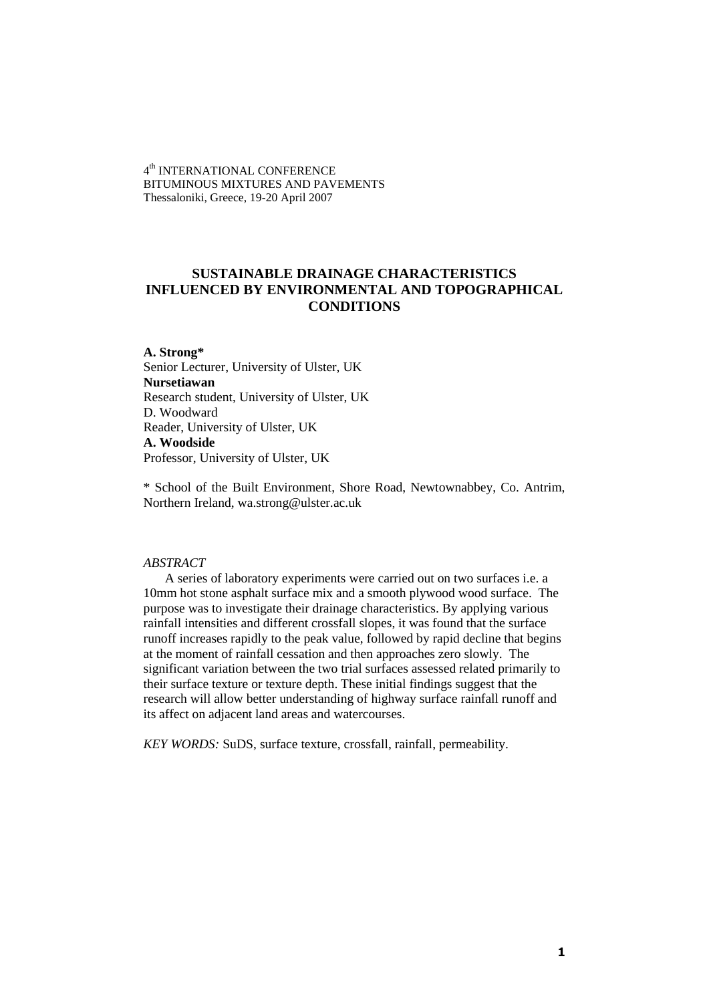4<sup>th</sup> INTERNATIONAL CONFERENCE BITUMINOUS MIXTURES AND PAVEMENTS Thessaloniki, Greece, 19-20 April 2007

# **SUSTAINABLE DRAINAGE CHARACTERISTICS INFLUENCED BY ENVIRONMENTAL AND TOPOGRAPHICAL CONDITIONS**

**A. Strong\*** Senior Lecturer, University of Ulster, UK **Nursetiawan** Research student, University of Ulster, UK D. Woodward Reader, University of Ulster, UK **A. Woodside** Professor, University of Ulster, UK

\* School of the Built Environment, Shore Road, Newtownabbey, Co. Antrim, Northern Ireland, wa.strong@ulster.ac.uk

### *ABSTRACT*

A series of laboratory experiments were carried out on two surfaces i.e. a 10mm hot stone asphalt surface mix and a smooth plywood wood surface. The purpose was to investigate their drainage characteristics. By applying various rainfall intensities and different crossfall slopes, it was found that the surface runoff increases rapidly to the peak value, followed by rapid decline that begins at the moment of rainfall cessation and then approaches zero slowly. The significant variation between the two trial surfaces assessed related primarily to their surface texture or texture depth. These initial findings suggest that the research will allow better understanding of highway surface rainfall runoff and its affect on adjacent land areas and watercourses.

*KEY WORDS:* SuDS, surface texture, crossfall, rainfall, permeability.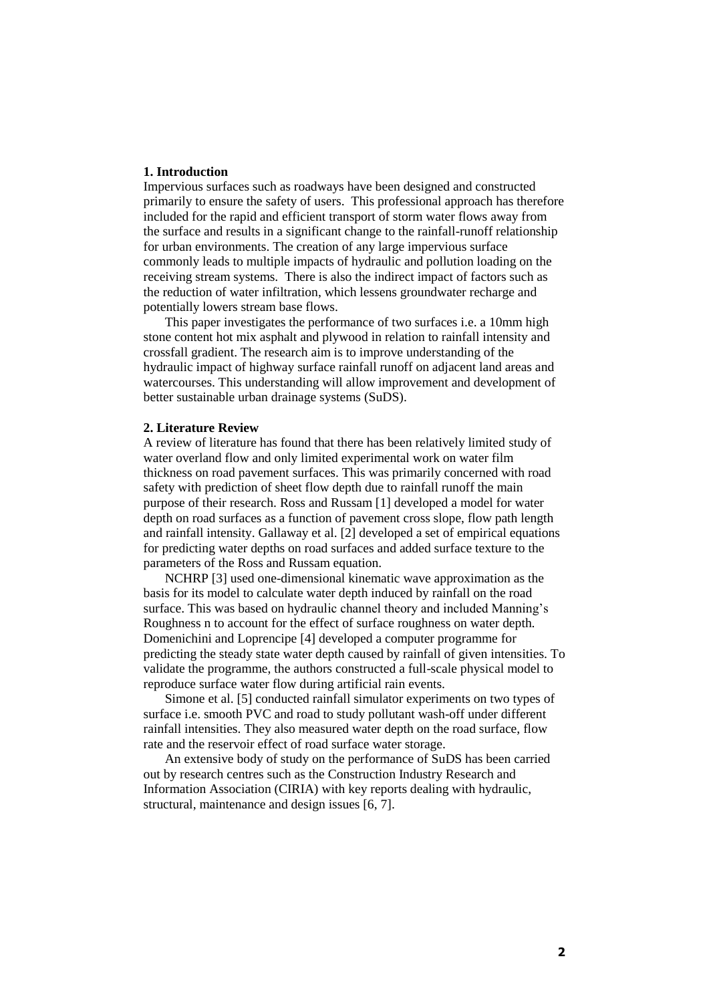# **1. Introduction**

Impervious surfaces such as roadways have been designed and constructed primarily to ensure the safety of users. This professional approach has therefore included for the rapid and efficient transport of storm water flows away from the surface and results in a significant change to the rainfall-runoff relationship for urban environments. The creation of any large impervious surface commonly leads to multiple impacts of hydraulic and pollution loading on the receiving stream systems. There is also the indirect impact of factors such as the reduction of water infiltration, which lessens groundwater recharge and potentially lowers stream base flows.

This paper investigates the performance of two surfaces i.e. a 10mm high stone content hot mix asphalt and plywood in relation to rainfall intensity and crossfall gradient. The research aim is to improve understanding of the hydraulic impact of highway surface rainfall runoff on adjacent land areas and watercourses. This understanding will allow improvement and development of better sustainable urban drainage systems (SuDS).

#### **2. Literature Review**

A review of literature has found that there has been relatively limited study of water overland flow and only limited experimental work on water film thickness on road pavement surfaces. This was primarily concerned with road safety with prediction of sheet flow depth due to rainfall runoff the main purpose of their research. Ross and Russam [1] developed a model for water depth on road surfaces as a function of pavement cross slope, flow path length and rainfall intensity. Gallaway et al. [2] developed a set of empirical equations for predicting water depths on road surfaces and added surface texture to the parameters of the Ross and Russam equation.

NCHRP [3] used one-dimensional kinematic wave approximation as the basis for its model to calculate water depth induced by rainfall on the road surface. This was based on hydraulic channel theory and included Manning's Roughness n to account for the effect of surface roughness on water depth. Domenichini and Loprencipe [4] developed a computer programme for predicting the steady state water depth caused by rainfall of given intensities. To validate the programme, the authors constructed a full-scale physical model to reproduce surface water flow during artificial rain events.

Simone et al. [5] conducted rainfall simulator experiments on two types of surface i.e. smooth PVC and road to study pollutant wash-off under different rainfall intensities. They also measured water depth on the road surface, flow rate and the reservoir effect of road surface water storage.

An extensive body of study on the performance of SuDS has been carried out by research centres such as the Construction Industry Research and Information Association (CIRIA) with key reports dealing with hydraulic, structural, maintenance and design issues [6, 7].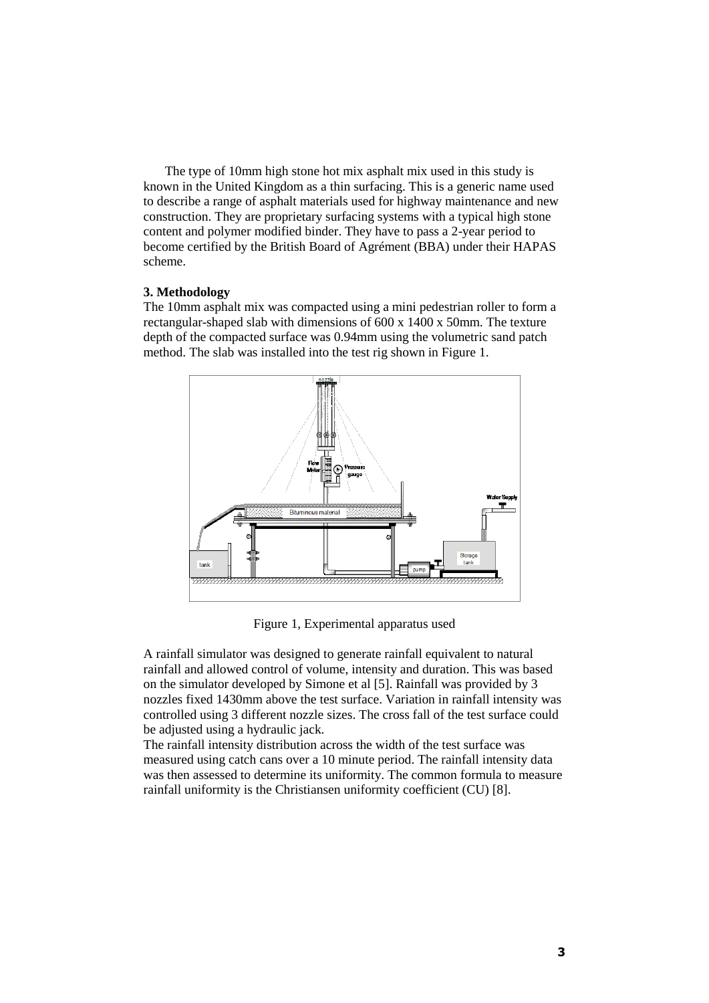The type of 10mm high stone hot mix asphalt mix used in this study is known in the United Kingdom as a thin surfacing. This is a generic name used to describe a range of asphalt materials used for highway maintenance and new construction. They are proprietary surfacing systems with a typical high stone content and polymer modified binder. They have to pass a 2-year period to become certified by the British Board of Agrément (BBA) under their HAPAS scheme.

# **3. Methodology**

The 10mm asphalt mix was compacted using a mini pedestrian roller to form a rectangular-shaped slab with dimensions of 600 x 1400 x 50mm. The texture depth of the compacted surface was 0.94mm using the volumetric sand patch method. The slab was installed into the test rig shown in Figure 1.



Figure 1, Experimental apparatus used

A rainfall simulator was designed to generate rainfall equivalent to natural rainfall and allowed control of volume, intensity and duration. This was based on the simulator developed by Simone et al [5]. Rainfall was provided by 3 nozzles fixed 1430mm above the test surface. Variation in rainfall intensity was controlled using 3 different nozzle sizes. The cross fall of the test surface could be adjusted using a hydraulic jack.

The rainfall intensity distribution across the width of the test surface was measured using catch cans over a 10 minute period. The rainfall intensity data was then assessed to determine its uniformity. The common formula to measure rainfall uniformity is the Christiansen uniformity coefficient (CU) [8].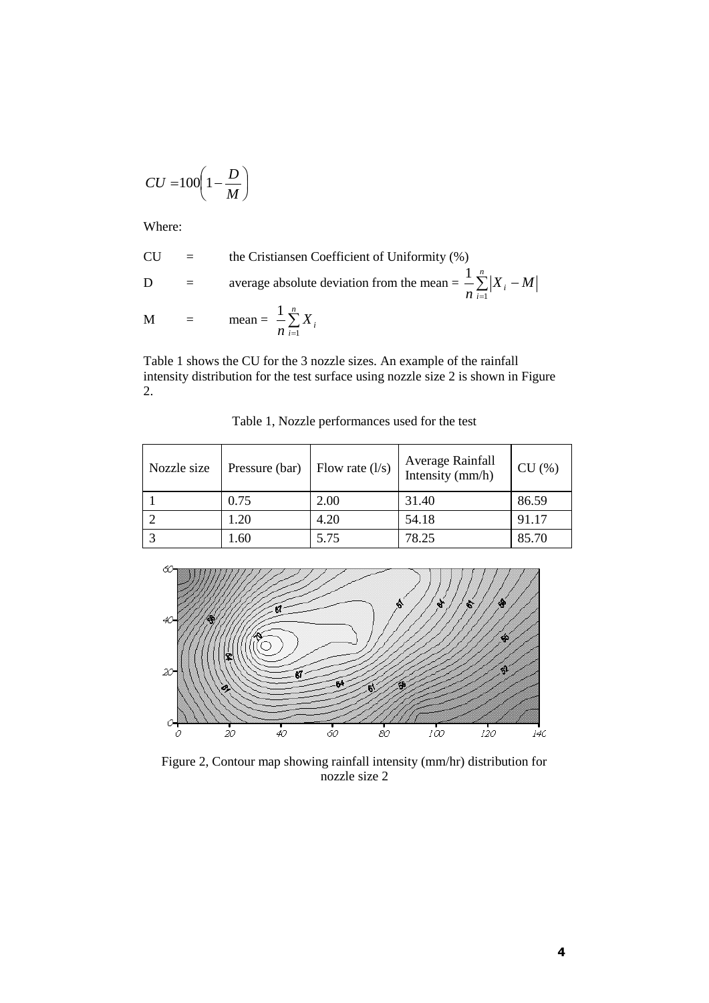$$
CU = 100 \left(1 - \frac{D}{M}\right)
$$

Where:

CU = the Cristinaen Coefficient of Uniformity (%)  
D = average absolute deviation from the mean = 
$$
\frac{1}{n} \sum_{i=1}^{n} |X_i - M|
$$
  
M = mean =  $\frac{1}{n} \sum_{i=1}^{n} X_i$ 

Table 1 shows the CU for the 3 nozzle sizes. An example of the rainfall intensity distribution for the test surface using nozzle size 2 is shown in Figure 2.

| Nozzle size | Pressure (bar) | Flow rate $(l/s)$ | Average Rainfall<br>Intensity (mm/h) | CU(%) |
|-------------|----------------|-------------------|--------------------------------------|-------|
|             | 0.75           | 2.00              | 31.40                                | 86.59 |
|             | 1.20           | 4.20              | 54.18                                | 91.17 |
|             | .60            | 5.75              | 78.25                                | 85.70 |

Table 1, Nozzle performances used for the test



Figure 2, Contour map showing rainfall intensity (mm/hr) distribution for nozzle size 2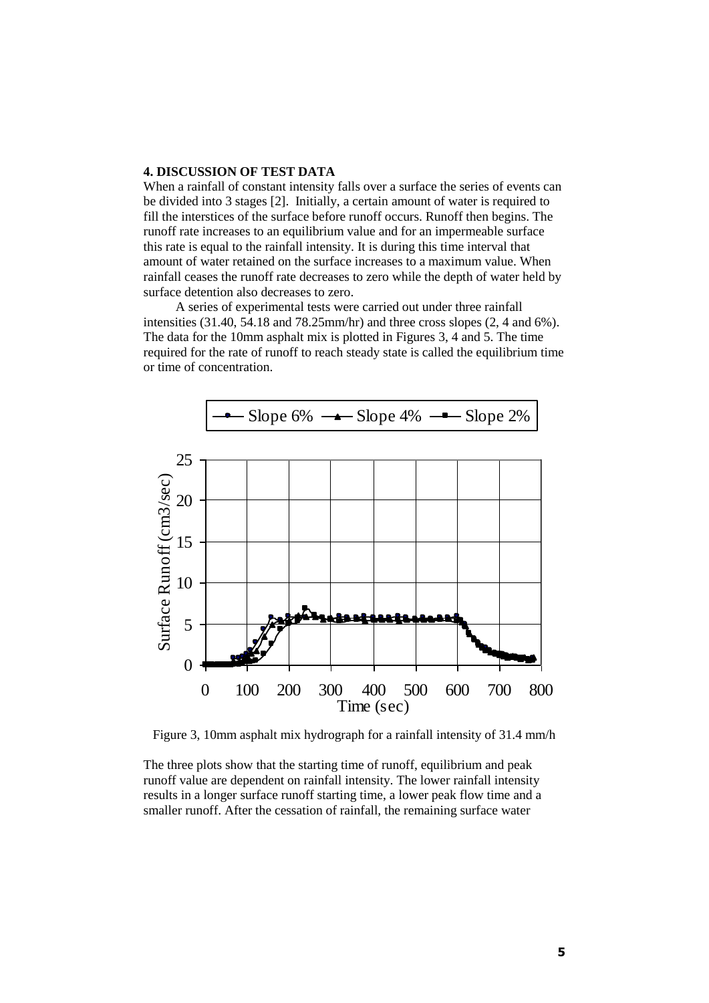### **4. DISCUSSION OF TEST DATA**

When a rainfall of constant intensity falls over a surface the series of events can be divided into 3 stages [2]. Initially, a certain amount of water is required to fill the interstices of the surface before runoff occurs. Runoff then begins. The runoff rate increases to an equilibrium value and for an impermeable surface this rate is equal to the rainfall intensity. It is during this time interval that amount of water retained on the surface increases to a maximum value. When rainfall ceases the runoff rate decreases to zero while the depth of water held by surface detention also decreases to zero.

A series of experimental tests were carried out under three rainfall intensities  $(31.40, 54.18 \text{ and } 78.25 \text{mm/hr})$  and three cross slopes  $(2, 4 \text{ and } 6\%)$ . The data for the 10mm asphalt mix is plotted in Figures 3, 4 and 5. The time required for the rate of runoff to reach steady state is called the equilibrium time or time of concentration.



Figure 3, 10mm asphalt mix hydrograph for a rainfall intensity of 31.4 mm/h

The three plots show that the starting time of runoff, equilibrium and peak runoff value are dependent on rainfall intensity. The lower rainfall intensity results in a longer surface runoff starting time, a lower peak flow time and a smaller runoff. After the cessation of rainfall, the remaining surface water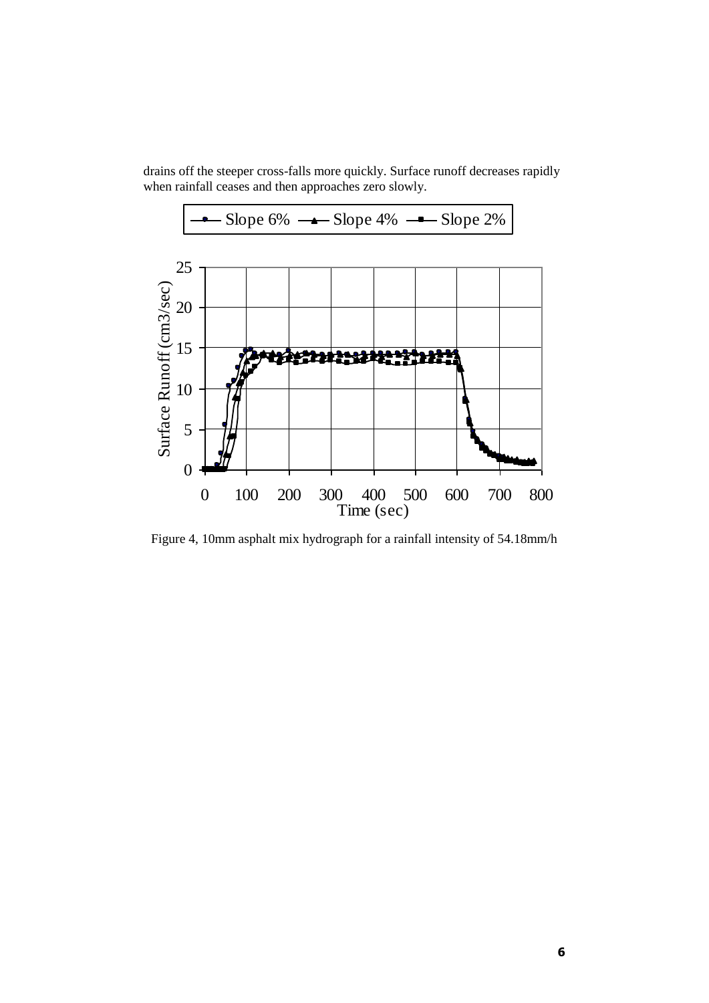drains off the steeper cross-falls more quickly. Surface runoff decreases rapidly when rainfall ceases and then approaches zero slowly.



Figure 4, 10mm asphalt mix hydrograph for a rainfall intensity of 54.18mm/h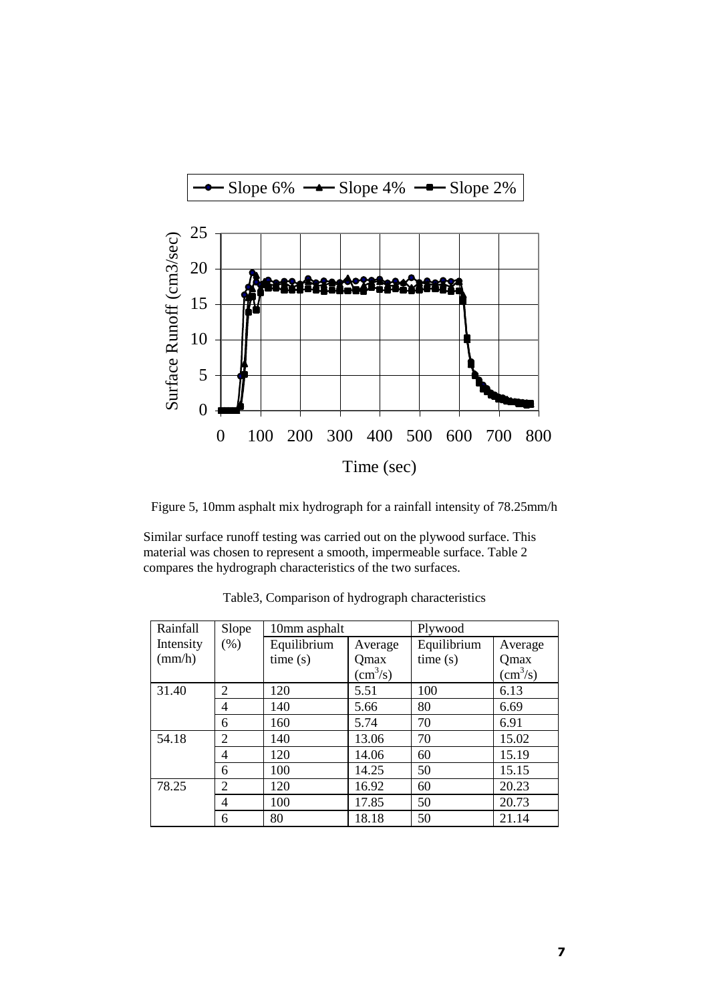



Similar surface runoff testing was carried out on the plywood surface. This material was chosen to represent a smooth, impermeable surface. Table 2 compares the hydrograph characteristics of the two surfaces.

| Rainfall        | Slope | 10mm asphalt |                | Plywood     |                        |
|-----------------|-------|--------------|----------------|-------------|------------------------|
| Intensity       | (% )  | Equilibrium  | Average        | Equilibrium | Average                |
| $\text{(mm/h)}$ |       | time(s)      | Qmax           | time(s)     | Qmax                   |
|                 |       |              | $\rm (cm^3/s)$ |             | $\text{cm}^3\text{/s}$ |
| 31.40           | 2     | 120          | 5.51           | 100         | 6.13                   |
|                 | 4     | 140          | 5.66           | 80          | 6.69                   |
|                 | 6     | 160          | 5.74           | 70          | 6.91                   |
| 54.18           | 2     | 140          | 13.06          | 70          | 15.02                  |
|                 | 4     | 120          | 14.06          | 60          | 15.19                  |
|                 | 6     | 100          | 14.25          | 50          | 15.15                  |
| 78.25           | 2     | 120          | 16.92          | 60          | 20.23                  |
|                 | 4     | 100          | 17.85          | 50          | 20.73                  |
|                 | 6     | 80           | 18.18          | 50          | 21.14                  |

Table3, Comparison of hydrograph characteristics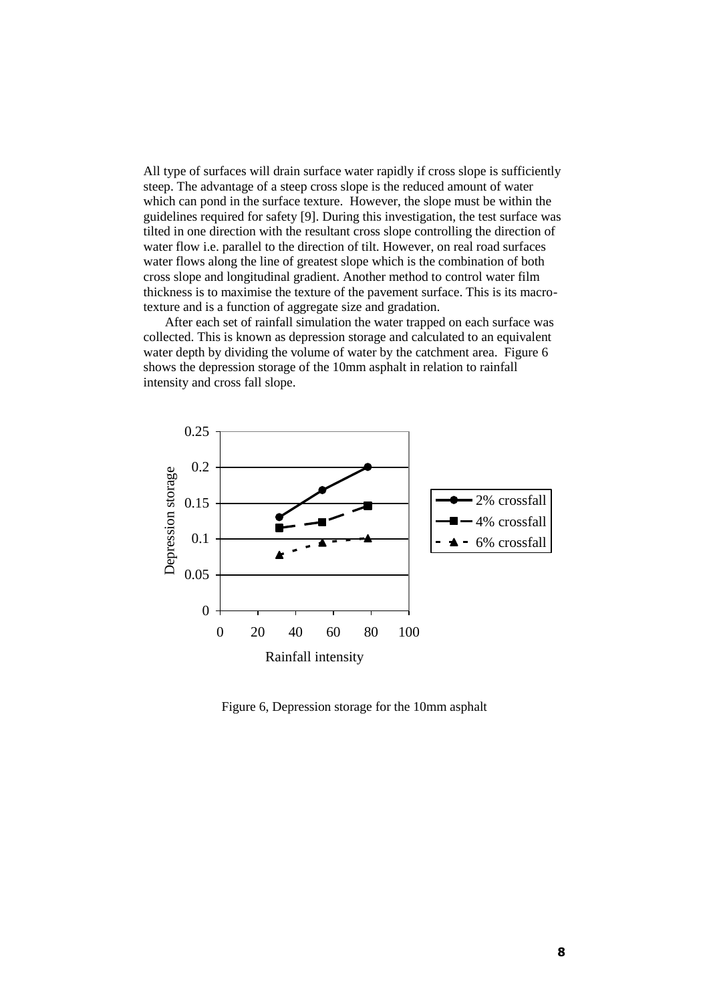All type of surfaces will drain surface water rapidly if cross slope is sufficiently steep. The advantage of a steep cross slope is the reduced amount of water which can pond in the surface texture. However, the slope must be within the guidelines required for safety [9]. During this investigation, the test surface was tilted in one direction with the resultant cross slope controlling the direction of water flow i.e. parallel to the direction of tilt. However, on real road surfaces water flows along the line of greatest slope which is the combination of both cross slope and longitudinal gradient. Another method to control water film thickness is to maximise the texture of the pavement surface. This is its macrotexture and is a function of aggregate size and gradation.

After each set of rainfall simulation the water trapped on each surface was collected. This is known as depression storage and calculated to an equivalent water depth by dividing the volume of water by the catchment area. Figure 6 shows the depression storage of the 10mm asphalt in relation to rainfall intensity and cross fall slope.



Figure 6, Depression storage for the 10mm asphalt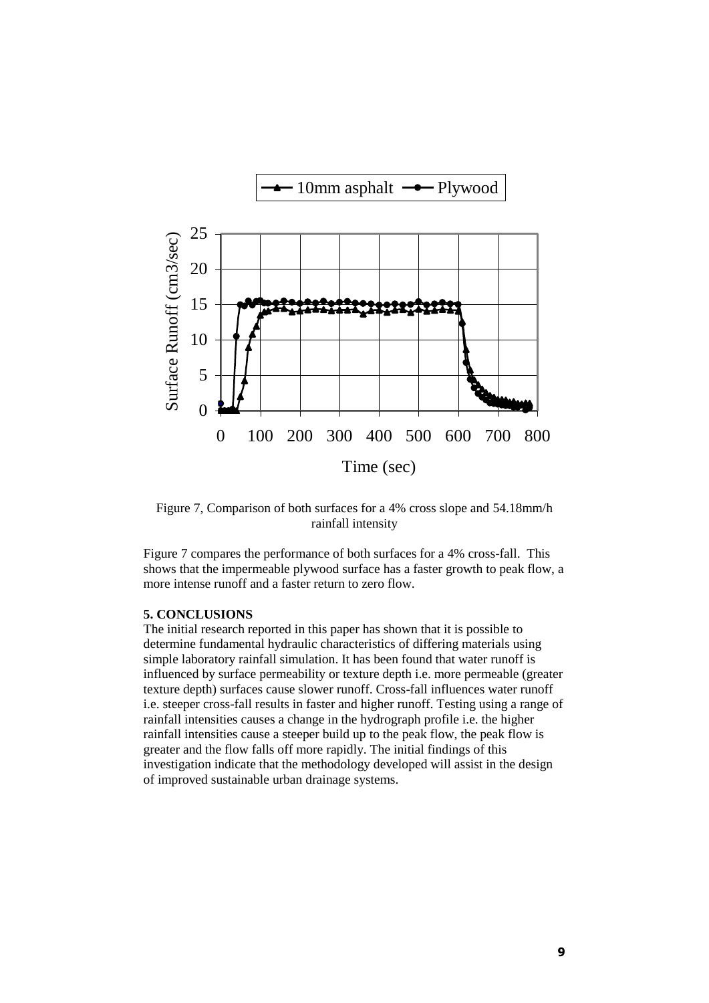

Figure 7, Comparison of both surfaces for a 4% cross slope and 54.18mm/h rainfall intensity

Figure 7 compares the performance of both surfaces for a 4% cross-fall. This shows that the impermeable plywood surface has a faster growth to peak flow, a more intense runoff and a faster return to zero flow.

### **5. CONCLUSIONS**

The initial research reported in this paper has shown that it is possible to determine fundamental hydraulic characteristics of differing materials using simple laboratory rainfall simulation. It has been found that water runoff is influenced by surface permeability or texture depth i.e. more permeable (greater texture depth) surfaces cause slower runoff. Cross-fall influences water runoff i.e. steeper cross-fall results in faster and higher runoff. Testing using a range of rainfall intensities causes a change in the hydrograph profile i.e. the higher rainfall intensities cause a steeper build up to the peak flow, the peak flow is greater and the flow falls off more rapidly. The initial findings of this investigation indicate that the methodology developed will assist in the design of improved sustainable urban drainage systems.